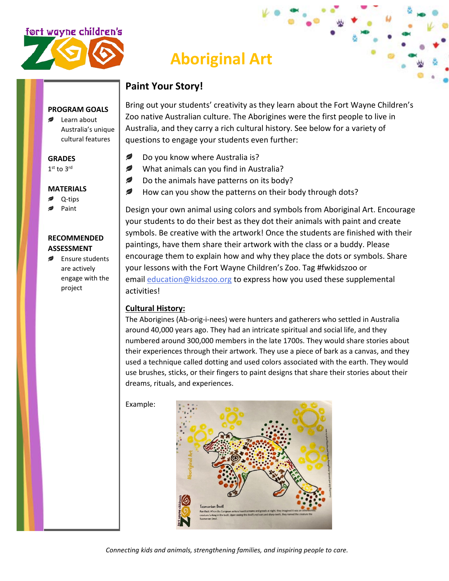

## **Aboriginal Art**

#### **Paint Your Story!**

**PROGRAM GOALS** ■ Learn about Australia's unique

cultural features

#### **GRADES**

1st to 3rd

#### **MATERIALS**

- Q-tips
- Paint

#### **RECOMMENDED ASSESSMENT**

**Ensure students** are actively engage with the project

Bring out your students' creativity as they learn about the Fort Wayne Children's Zoo native Australian culture. The Aborigines were the first people to live in Australia, and they carry a rich cultural history. See below for a variety of questions to engage your students even further:

- Ø Do you know where Australia is?
- ✍ What animals can you find in Australia?
- ✍ Do the animals have patterns on its body?
- Ø How can you show the patterns on their body through dots?

Design your own animal using colors and symbols from Aboriginal Art. Encourage your students to do their best as they dot their animals with paint and create symbols. Be creative with the artwork! Once the students are finished with their paintings, have them share their artwork with the class or a buddy. Please encourage them to explain how and why they place the dots or symbols. Share your lessons with the Fort Wayne Children's Zoo. Tag #fwkidszoo or email [education@kidszoo.org](mailto:education@kidszoo.org) to express how you used these supplemental activities!

#### **Cultural History:**

The Aborigines (Ab-orig-i-nees) were hunters and gatherers who settled in Australia around 40,000 years ago. They had an intricate spiritual and social life, and they numbered around 300,000 members in the late 1700s. They would share stories about their experiences through their artwork. They use a piece of bark as a canvas, and they used a technique called dotting and used colors associated with the earth. They would use brushes, sticks, or their fingers to paint designs that share their stories about their dreams, rituals, and experiences.

Example:

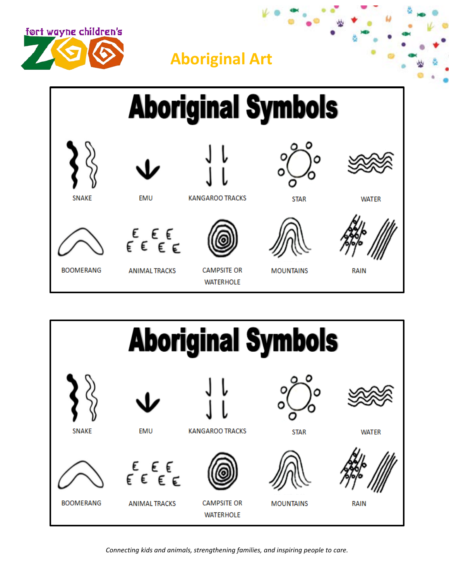





*Connecting kids and animals, strengthening families, and inspiring people to care.*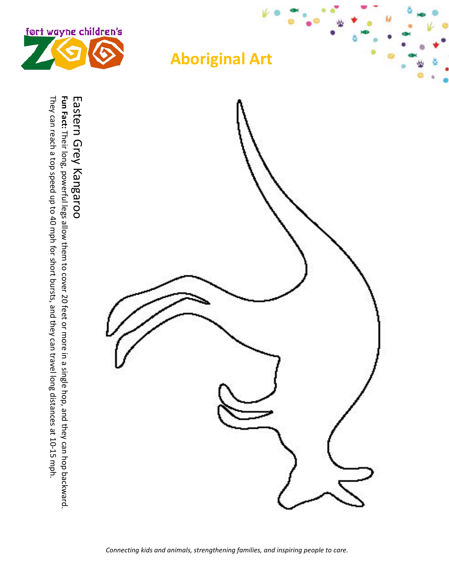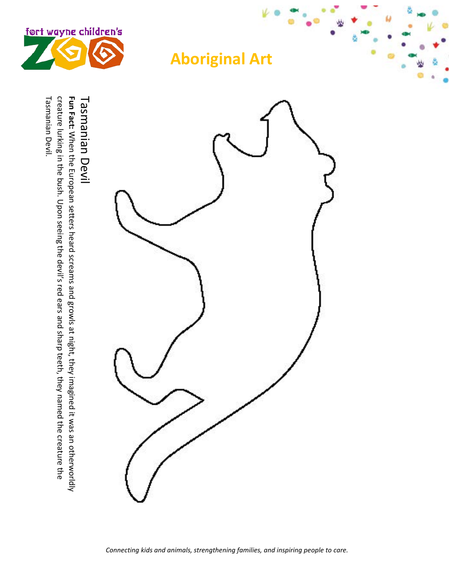

Tasmanian Devil

Tasmanian Devil. creature lurking in the bush. Upon seeing the devil's red ears and sharp teeth, they named the creature the Fun Fact: When the European setters heard screams and growls at night, they imagined it was an otherworldly Tasmanian Devil. creature lurking in the bush. Upon seeing the devil's red ears and sharp teeth, they named the creature the **Tasmanian Devil Fun Fact:** When the European setters heard screams and growls at night, they imagined it was an otherworldly

## **Aboriginal Art**

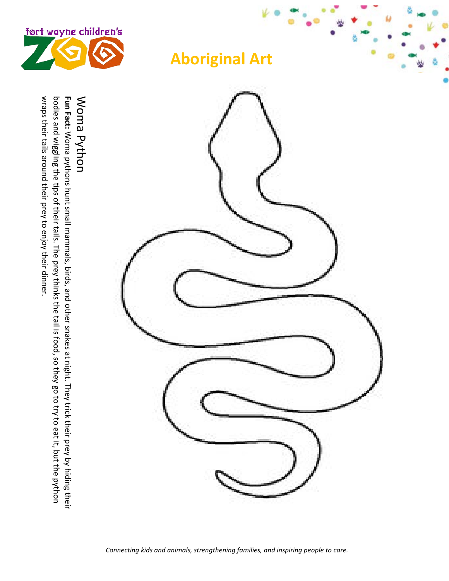

# wraps their tails around their prey to enjoy their dinner. bodies and wiggling the tips of their tails. The prey thinks the tail is food, so they go to try to eat it, but the python wraps their tails around their prey to enjoy their dinner. Woma Python Woma Python bodies and wiggling the tips of their tails. The prey thinks the tail is food, so they **Fu n Fact:** Woma pythons hunt small mammals, birds, and other snakes at night. They trick their prey by hiding their go to try to

eat it, but the python

### **Aboriginal Art**